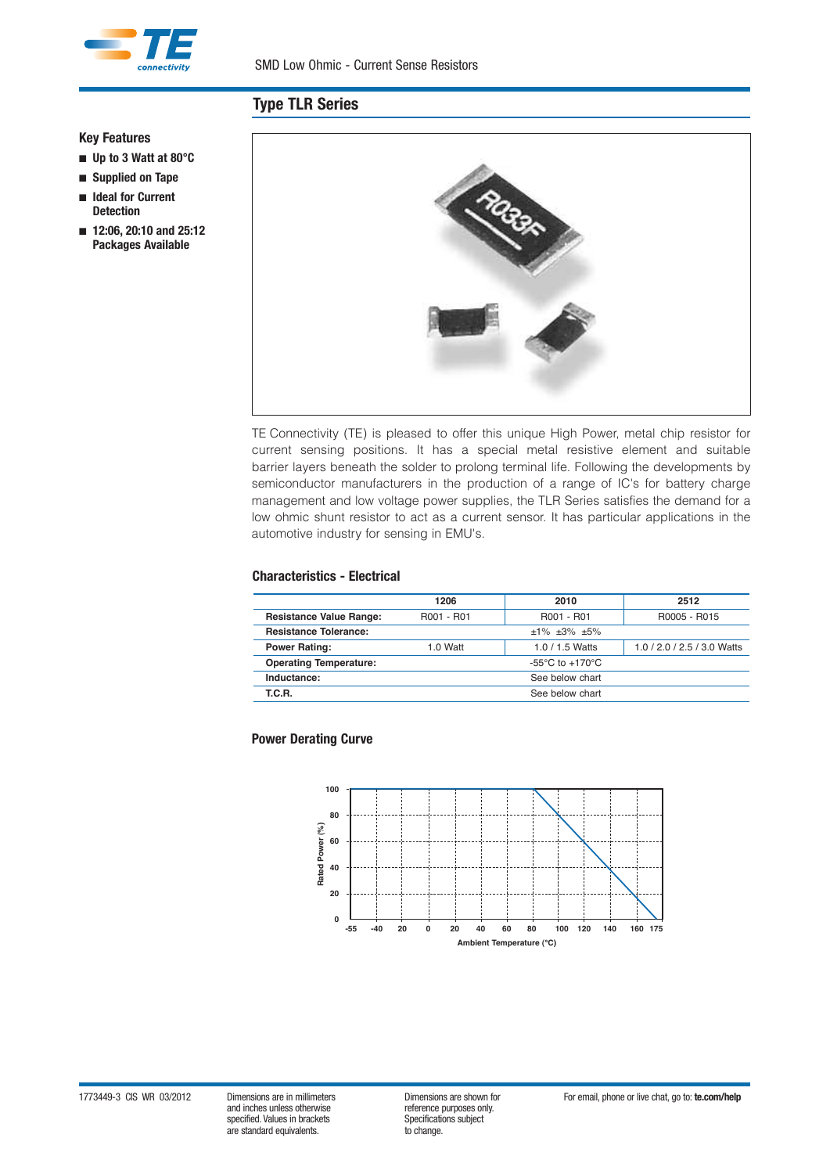

# **Type TLR Series**

## **Key Features**

- n **Up to 3 Watt at 80°C**
- n **Supplied on Tape**
- n **Ideal for Current Detection**
- n **12:06, 20:10 and 25:12 Packages Available**



TE Connectivity (TE) is pleased to offer this unique High Power, metal chip resistor for current sensing positions. It has a special metal resistive element and suitable barrier layers beneath the solder to prolong terminal life. Following the developments by semiconductor manufacturers in the production of a range of IC's for battery charge management and low voltage power supplies, the TLR Series satisfies the demand for a low ohmic shunt resistor to act as a current sensor. It has particular applications in the automotive industry for sensing in EMU's.

### **Characteristics - Electrical**

|                                | 1206<br>2010                        |            | 2512                        |  |  |
|--------------------------------|-------------------------------------|------------|-----------------------------|--|--|
| <b>Resistance Value Range:</b> | R001 - R01                          | R001 - R01 | R0005 - R015                |  |  |
| <b>Resistance Tolerance:</b>   | $±1\%$ $±3\%$ $±5\%$                |            |                             |  |  |
| <b>Power Rating:</b>           | $1.0$ Watt<br>$1.0 / 1.5$ Watts     |            | 1.0 / 2.0 / 2.5 / 3.0 Watts |  |  |
| <b>Operating Temperature:</b>  | $-55^{\circ}$ C to $+170^{\circ}$ C |            |                             |  |  |
| Inductance:                    | See below chart                     |            |                             |  |  |
| T.C.R.                         | See below chart                     |            |                             |  |  |

### **Power Derating Curve**

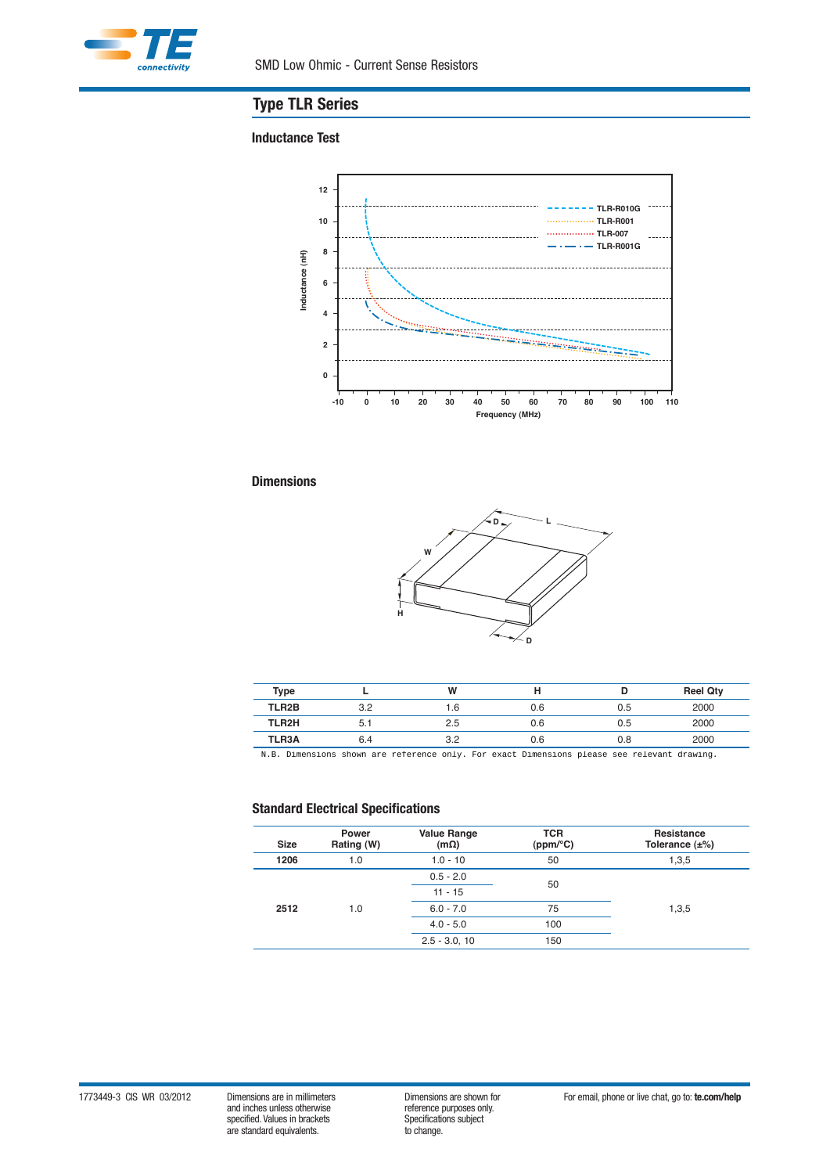

# **Type TLR Series**

### **Inductance Test**



# **Dimensions**



| Type         |     | W   | н   |     | <b>Reel Qty</b> |
|--------------|-----|-----|-----|-----|-----------------|
| TLR2B        | 3.2 | .6  | 0.6 | 0.5 | 2000            |
| TLR2H        | 5.1 | 2.5 | 0.6 | 0.5 | 2000            |
| <b>TLR3A</b> | 6.4 | 3.2 | 0.6 | 0.8 | 2000            |
|              |     |     |     |     |                 |

reference only. For exact Dimensions please see relevant drawing.

# **Standard Electrical Specifications**

| <b>Size</b> | <b>Power</b><br>Rating (W) | <b>Value Range</b><br>$(m\Omega)$ | <b>TCR</b><br>(ppm/°C) | Resistance<br>Tolerance $(\pm\%)$ |  |  |
|-------------|----------------------------|-----------------------------------|------------------------|-----------------------------------|--|--|
| 1206        | 1.0                        | $1.0 - 10$                        | 50                     | 1,3,5                             |  |  |
| 2512        |                            | $0.5 - 2.0$                       | 50                     |                                   |  |  |
|             |                            | $11 - 15$                         |                        |                                   |  |  |
|             | 1.0                        | $6.0 - 7.0$                       | 75                     | 1,3,5                             |  |  |
|             |                            | $4.0 - 5.0$                       | 100                    |                                   |  |  |
|             |                            | $2.5 - 3.0, 10$                   | 150                    |                                   |  |  |

1773449-3 CIS WR 03/2012 Dimensions are in millimeters Dimensions are shown for For email, phone or live chat, go to: **te.com/help**<br>and inches unless otherwise reference purposes only.<br>Specifications subject and inches unless otherwise specified. Values in brackets<br>
specifications subsections subsections subsections subjections subjections of the standard equivalents. are standard equivalents.